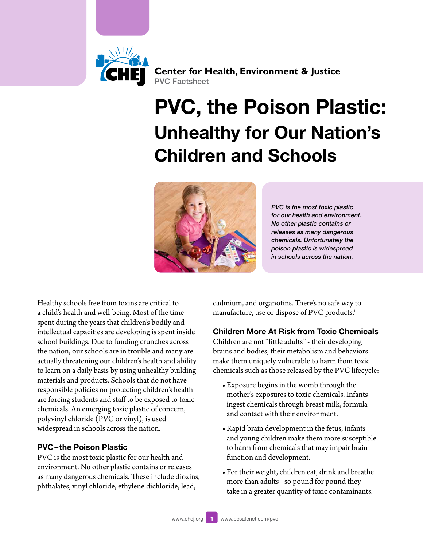

**Center for Health, Environment & Justice** PVC Factsheet

# PVC, the Poison Plastic: Unhealthy for Our Nation's Children and Schools



*PVC is the most toxic plastic for our health and environment. No other plastic contains or releases as many dangerous chemicals. Unfortunately the poison plastic is widespread in schools across the nation.*

Healthy schools free from toxins are critical to a child's health and well-being. Most of the time spent during the years that children's bodily and intellectual capacities are developing is spent inside school buildings. Due to funding crunches across the nation, our schools are in trouble and many are actually threatening our children's health and ability to learn on a daily basis by using unhealthy building materials and products. Schools that do not have responsible policies on protecting children's health are forcing students and staff to be exposed to toxic chemicals. An emerging toxic plastic of concern, polyvinyl chloride (PVC or vinyl), is used widespread in schools across the nation.

# PVC– the Poison Plastic

PVC is the most toxic plastic for our health and environment. No other plastic contains or releases as many dangerous chemicals. These include dioxins, phthalates, vinyl chloride, ethylene dichloride, lead,

cadmium, and organotins. There's no safe way to manufacture, use or d[i](#page-4-0)spose of PVC products.<sup>i</sup>

# Children More At Risk from Toxic Chemicals

Children are not "little adults" - their developing brains and bodies, their metabolism and behaviors make them uniquely vulnerable to harm from toxic chemicals such as those released by the PVC lifecycle:

- • Exposure begins in the womb through the mother's exposures to toxic chemicals. Infants ingest chemicals through breast milk, formula and contact with their environment.
- • Rapid brain development in the fetus, infants and young children make them more susceptible to harm from chemicals that may impair brain function and development.
- • For their weight, children eat, drink and breathe more than adults - so pound for pound they take in a greater quantity of toxic contaminants.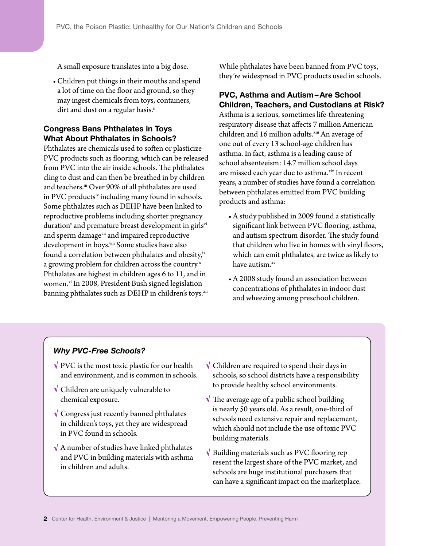A small exposure translates into a big dose.

• Children put things in their mouths and spend a lot of time on the floor and ground, so they may ingest chemicals from toys, containers, dirt and dust on a regular basis.<sup>[ii](#page-4-1)</sup>

# Congress Bans Phthalates in Toys What About Phthalates in Schools?

Phthalates are chemicals used to soften or plasticize PVC products such as flooring, which can be released from PVC into the air inside schools. The phthalates cling to dust and can then be breathed in by children and teachers.<sup>iii</sup> Over 90% of all phthalates are used in PVC products<sup>iv</sup> including many found in schools. Some phthalates such as DEHP have been linked to reproductive problems including shorter pregnancy duration $^{\rm v}$  and premature breast development in girls $^{\rm vi}$ and sperm damage[vii](#page-4-6) and impaired reproductive development in boys.<sup>viii</sup> Some studies have also found a correlation between phthalates and obesity,<sup>[ix](#page-4-8)</sup> a growing problem for children across the country. $x^2$  $x^2$ Phthalates are highest in children ages 6 to 11, and in women.<sup>xi</sup> In 2008, President Bush signed legislation banning phthalates such as DEHP in children's toys.<sup>xii</sup> While phthalates have been banned from PVC toys, they're widespread in PVC products used in schools.

# PVC, Asthma and Autism–Are School Children, Teachers, and Custodians at Risk?

Asthma is a serious, sometimes life-threatening respiratory disease that affects 7 million American children and 16 million adults.<sup>[xiii](#page-4-12)</sup> An average of one out of every 13 school-age children has asthma. In fact, asthma is a leading cause of school absenteeism: 14.7 million school days are missed each year due to asthma.[xiv](#page-4-13) In recent years, a number of studies have found a correlation between phthalates emitted from PVC building products and asthma:

- A study published in 2009 found a statistically significant link between PVC flooring, asthma, and autism spectrum disorder. The study found that children who live in homes with vinyl floors, which can emit phthalates, are twice as likely to have autism.<sup>[xv](#page-4-14)</sup>
- A 2008 study found an association between concentrations of phthalates in indoor dust and wheezing among preschool children.

# *Why PVC-Free Schools?*

- $\sqrt{PVC}$  is the most toxic plastic for our health and environment, and is common in schools.
- Children are uniquely vulnerable to chemical exposure.
- $\sqrt{\frac{1}{2}}$  Congress just recently banned phthalates in children's toys, yet they are widespread in PVC found in schools.
- $\sqrt{ }$  A number of studies have linked phthalates and PVC in building materials with asthma in children and adults.
- $\sqrt{\frac{1}{\pi}}$  Children are required to spend their days in schools, so school districts have a responsibility to provide healthy school environments.
- $\sqrt{\ }$  The average age of a public school building is nearly 50 years old. As a result, one-third of schools need extensive repair and replacement, which should not include the use of toxic PVC building materials.
- $\sqrt{\ }$  Building materials such as PVC flooring rep resent the largest share of the PVC market, and schools are huge institutional purchasers that can have a significant impact on the marketplace.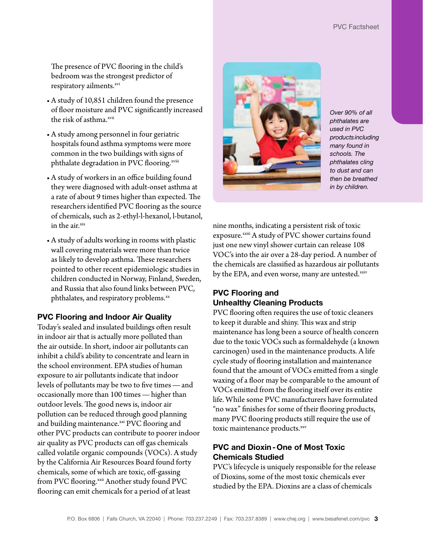The presence of PVC flooring in the child's bedroom was the strongest predictor of respiratory ailments.<sup>[xvi](#page-4-15)</sup>

- • A study of 10,851 children found the presence of floor moisture and PVC significantly increased the risk of asthma.<sup>[xvii](#page-4-16)</sup>
- • A study among personnel in four geriatric hospitals found asthma symptoms were more common in the two buildings with signs of phthalate degradation in PVC flooring.<sup>[xviii](#page-4-17)</sup>
- • A study of workers in an office building found they were diagnosed with adult-onset asthma at a rate of about 9 times higher than expected. The researchers identified PVC flooring as the source of chemicals, such as 2-ethyl-l-hexanol, l-butanol, in the air.[xix](#page-4-18)
- A study of adults working in rooms with plastic wall covering materials were more than twice as likely to develop asthma. These researchers pointed to other recent epidemiologic studies in children conducted in Norway, Finland, Sweden, and Russia that also found links between PVC, phthalates, and respiratory problems.<sup>[xx](#page-4-19)</sup>

#### PVC Flooring and Indoor Air Quality

Today's sealed and insulated buildings often result in indoor air that is actually more polluted than the air outside. In short, indoor air pollutants can inhibit a child's ability to concentrate and learn in the school environment. EPA studies of human exposure to air pollutants indicate that indoor levels of pollutants may be two to five times—and occasionally more than 100 times—higher than outdoor levels. The good news is, indoor air pollution can be reduced through good planning and building maintenance.<sup>xxi</sup> PVC flooring and other PVC products can contribute to poorer indoor air quality as PVC products can off gas chemicals called volatile organic compounds (VOCs). A study by the California Air Resources Board found forty chemicals, some of which are toxic, off-gassing from PVC flooring.<sup>[xxii](#page-5-1)</sup> Another study found PVC flooring can emit chemicals for a period of at least



*Over 90% of all phthalates are used in PVC products including many found in schools. The phthalates cling to dust and can then be breathed in by children.*

nine months, indicating a persistent risk of toxic exposure.<sup>xxiii</sup> A study of PVC shower curtains found just one new vinyl shower curtain can release 108 VOC's into the air over a 28-day period. A number of the chemicals are classified as hazardous air pollutants by the EPA, and even worse, many are untested.[xxiv](#page-5-3)

#### PVC Flooring and Unhealthy Cleaning Products

PVC flooring often requires the use of toxic cleaners to keep it durable and shiny. This wax and strip maintenance has long been a source of health concern due to the toxic VOCs such as formaldehyde (a known carcinogen) used in the maintenance products. A life cycle study of flooring installation and maintenance found that the amount of VOCs emitted from a single waxing of a floor may be comparable to the amount of VOCs emitted from the flooring itself over its entire life. While some PVC manufacturers have formulated "no wax" finishes for some of their flooring products, many PVC flooring products still require the use of toxic maintenance products.xxv

# PVC and Dioxin-One of Most Toxic Chemicals Studied

PVC's lifecycle is uniquely responsible for the release of Dioxins, some of the most toxic chemicals ever studied by the EPA. Dioxins are a class of chemicals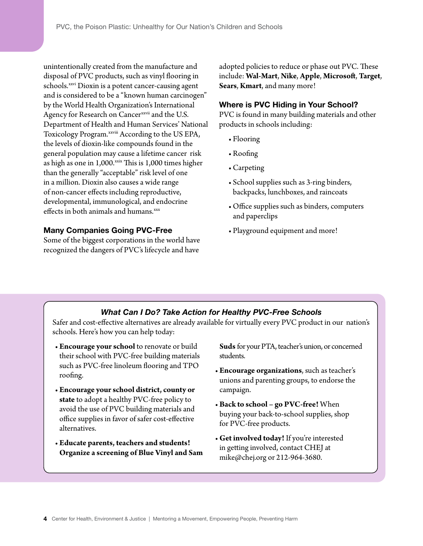unintentionally created from the manufacture and disposal of PVC products, such as vinyl flooring in schools.<sup>xxvi</sup> Dioxin is a potent cancer-causing agent and is considered to be a "known human carcinogen" by the World Health Organization's International Agency for Research on Cancer<sup>xxvii</sup> and the U.S. Department of Health and Human Services' National Toxicology Program.<sup>[xxviii](#page-5-7)</sup> According to the US EPA, the levels of dioxin-like compounds found in the general population may cause a lifetime cancer risk as high as one in  $1,000$ .<sup>xxix</sup> This is  $1,000$  times higher than the generally "acceptable" risk level of one in a million. Dioxin also causes a wide range of non-cancer effects including reproductive, developmental, immunological, and endocrine effects in both animals and humans.<sup>[xxx](#page-5-9)</sup>

#### Many Companies Going PVC-Free

Some of the biggest corporations in the world have recognized the dangers of PVC's lifecycle and have

adopted policies to reduce or phase out PVC. These include: **Wal-Mart**, **Nike**, **Apple**, **Microsoft**, **Target**, **Sears**, **Kmart**, and many more!

#### Where is PVC Hiding in Your School?

PVC is found in many building materials and other products in schools including:

- Flooring
- • Roofing
- • Carpeting
- • School supplies such as 3-ring binders, backpacks, lunchboxes, and raincoats
- • Office supplies such as binders, computers and paperclips
- Playground equipment and more!

#### *What Can I Do? Take Action for Healthy PVC-Free Schools*

Safer and cost-effective alternatives are already available for virtually every PVC product in our nation's schools. Here's how you can help today:

- **Encourage your school** to renovate or build their school with PVC-free building materials such as PVC-free linoleum flooring and TPO roofing.
- **Encourage your school district, county or state** to adopt a healthy PVC-free policy to avoid the use of PVC building materials and office supplies in favor of safer cost-effective alternatives.
- • **Educate parents, teachers and students! Organize a screening of Blue Vinyl and Sam**

**Suds** for your PTA, teacher's union, or concerned students.

- • **Encourage organizations**, such as teacher's unions and parenting groups, to endorse the campaign.
- • **Back to school go PVC-free!** When buying your back-to-school supplies, shop for PVC-free products.
- • **Get involved today!** If you're interested in getting involved, contact CHEJ at mike@chej.org or 212-964-3680.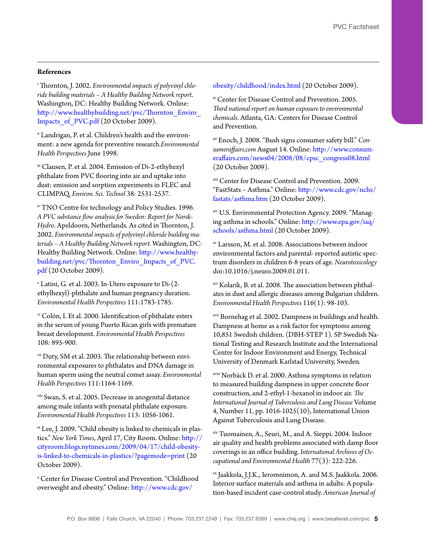#### **References**

<span id="page-4-0"></span>i Thornton, J. 2002. *Environmental impacts of polyvinyl chloride building materials – A Healthy Building Network report*. Washington, DC: Healthy Building Network. Online: [http://www.healthybuilding.net/pvc/Thornton\\_Enviro\\_](http://www.healthybuilding.net/pvc/Thornton_Enviro_Impacts_of_PVC.pdf) Impacts of PVC.pdf (20 October 2009).

<span id="page-4-1"></span>ii Landrigan, P. et al. Children's health and the environment: a new agenda for preventive research.*Environmental Health Perspectives* June 1998.

<span id="page-4-2"></span>iii Clausen, P. et al. 2004. Emission of Di-2-ethyhexyl phthalate from PVC flooring into air and uptake into dust: emission and sorption experiments in FLEC and CLIMPAQ. *Environ. Sci. Technol* 38: 2531-2537.

<span id="page-4-3"></span>iv TNO Centre for technology and Policy Studies. 1996. *A PVC substance flow analysis for Sweden: Report for Norsk-Hydro*. Apeldoorn, Netherlands. As cited in Thornton, J. 2002. *Environmental impacts of polyvinyl chloride building materials – A Healthy Building Network report.* Washington, DC: Healthy Building Network. Online: [http://www.healthy](http://www.healthybuilding.net/pvc/Thornton_Enviro_Impacts_of_PVC.pdf)[building.net/pvc/Thornton\\_Enviro\\_Impacts\\_of\\_PVC.](http://www.healthybuilding.net/pvc/Thornton_Enviro_Impacts_of_PVC.pdf) [pdf](http://www.healthybuilding.net/pvc/Thornton_Enviro_Impacts_of_PVC.pdf) (20 October 2009).

<span id="page-4-4"></span>v Latini, G. et al. 2003. In-Utero exposure to Di-(2 ethylhexyl)-phthalate and human pregnancy duration. *Environmental Health Perspectives* 111:1783-1785.

<span id="page-4-5"></span>vi Colón, I. Et al. 2000. Identification of phthalate esters in the serum of young Puerto Rican girls with premature breast development. *Environmental Health Perspectives* 108: 895-900.

<span id="page-4-6"></span>vii Duty, SM et al. 2003. The relationship between environmental exposures to phthalates and DNA damage in human sperm using the neutral comet assay. *Environmental Health Perspectives* 111:1164-1169.

<span id="page-4-7"></span>viii Swan, S. et al. 2005. Decrease in anogenital distance among male infants with prenatal phthalate exposure. *Environmental Health Perspectives* 113: 1056-1061.

<span id="page-4-8"></span><sup>ix</sup> Lee, J. 2009. "Child obesity is linked to chemicals in plastics." *New York Times*, April 17, City Room. Online: [http://](http://cityroom.blogs.nytimes.com/2009/04/17/child-obesity-is-linked-to-chemicals-in-plastics/?pagemode=print) [cityroom.blogs.nytimes.com/2009/04/17/child-obesity](http://cityroom.blogs.nytimes.com/2009/04/17/child-obesity-is-linked-to-chemicals-in-plastics/?pagemode=print)[is-linked-to-chemicals-in-plastics/?pagemode=print](http://cityroom.blogs.nytimes.com/2009/04/17/child-obesity-is-linked-to-chemicals-in-plastics/?pagemode=print) (20 October 2009).

<span id="page-4-9"></span>x Center for Disease Control and Prevention. "Childhood overweight and obesity." Online: [http://www.cdc.gov/](http://www.cdc.gov/obesity/childhood/index.html)

[obesity/childhood/index.html](http://www.cdc.gov/obesity/childhood/index.html) (20 October 2009).

<span id="page-4-10"></span>xi Center for Disease Control and Prevention. 2005. *Third national report on human exposure to environmental chemicals*. Atlanta, GA: Centers for Disease Control and Prevention.

<span id="page-4-11"></span>xii Enoch, J. 2008. "Bush signs consumer safety bill." *Consumeraffairs.com* August 14. Online: [http://www.consum](http://www.consumeraffairs.com/news04/2008/08/cpsc_congress08.html)[eraffairs.com/news04/2008/08/cpsc\\_congress08.html](http://www.consumeraffairs.com/news04/2008/08/cpsc_congress08.html) (20 October 2009).

<span id="page-4-12"></span>xiii Center for Disease Control and Prevention. 2009. "FastStats – Asthma." Online: [http://www.cdc.gov/nchs/](http://www.cdc.gov/nchs/fastats/asthma.htm) [fastats/asthma.htm](http://www.cdc.gov/nchs/fastats/asthma.htm) (20 October 2009).

<span id="page-4-13"></span>xiv U.S. Environmental Protection Agency. 2009. "Managing asthma in schools." Online: [http://www.epa.gov/iaq/](http://www.epa.gov/iaq/schools/asthma.html) [schools/asthma.html \(](http://www.epa.gov/iaq/schools/asthma.html)20 October 2009).

<span id="page-4-14"></span>xv Larsson, M. et al. 2008. Associations between indoor environmental factors and parental- reported autistic spectrum disorders in children 6-8 years of age. *Neurotoxicology* doi:10.1016/j.neuro.2009.01.011.

<span id="page-4-15"></span>xvi Kolarik, B. et al. 2008. The association between phthalates in dust and allergic diseases among Bulgarian children. *Environmental Health Perspectives* 116(1): 98-103.

<span id="page-4-16"></span>xvii Bornehag et al. 2002. Dampness in buildings and health. Dampness at home as a risk factor for symptoms among 10,851 Swedish children. (DBH-STEP 1). SP Swedish National Testing and Research Institute and the International Centre for Indoor Environment and Energy, Technical University of Denmark Karlstad University, Sweden.

<span id="page-4-17"></span>xviii Norbäck D. et al. 2000. Asthma symptoms in relation to measured building dampness in upper concrete floor construction, and 2-ethyl-1-hexanol in indoor air. *The International Journal of Tuberculosis and Lung Disease* Volume 4, Number 11, pp. 1016-1025(10), International Union Against Tuberculosis and Lung Disease.

<span id="page-4-18"></span>xix Tuomainen, A., Seuri, M., and A. Sieppi. 2004. Indoor air quality and health problems associated with damp floor coverings in an office building. *International Archives of Occupational and Environmental Health* 77(3): 222-226.

<span id="page-4-19"></span>xx Jaakkola, J.J.K., Ieromnimon, A. and M.S. Jaakkola. 2006. Interior surface materials and asthma in adults: A population-based incident case-control study. *American Journal of*